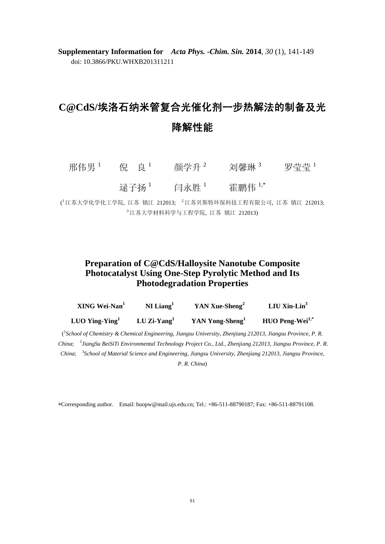**Supplementary Information for** *Acta Phys. -Chim. Sin.* **2014**, *30* (1), 141-149 doi: 10.3866/PKU.WHXB201311211

## **C@CdS/**埃洛石纳米管复合光催化剂一步热解法的制备及光 降解性能

| 邢伟男 ' | 倪 良 <sup>1</sup> | 颜学升 <sup>2</sup> | 刘馨琳 3   | 罗莹莹 1 |
|-------|------------------|------------------|---------|-------|
|       | 逯子扬 '            | 闫永胜 '            | 霍鹏伟 ',* |       |

( <sup>1</sup>江苏大学化学化工学院, 江苏 镇江 212013; <sup>2</sup>江苏贝斯特环保科技工程有限公司, 江苏 镇江 212013; <sup>3</sup> 江苏大学材料科学与工程学院, 江苏 镇江 212013)

## **Preparation of C@CdS/Halloysite Nanotube Composite Photocatalyst Using One-Step Pyrolytic Method and Its Photodegradation Properties**

| XING Wei-Nan <sup>1</sup> | $NI$ Liang <sup>1</sup> | YAN Xue-Sheng <sup>2</sup>  | LIU Xin-Lin <sup>3</sup>           |
|---------------------------|-------------------------|-----------------------------|------------------------------------|
| LUO Ying-Ying $1$         | LU Zi-Yang <sup>1</sup> | YAN Yong-Sheng <sup>1</sup> | <b>HUO Peng-Wei</b> <sup>1,*</sup> |

( 1 *School of Chemistry & Chemical Engineering, Jiangsu University, Zhenjiang 212013, Jiangsu Province, P. R.*  China; <sup>2</sup> JiangSu BeiSiTi Environmental Technology Project Co., Ltd., Zhenjiang 212013, Jiangsu Province, P. R. China; <sup>3</sup>School of Material Science and Engineering, Jiangsu University, Zhenjiang 212013, Jiangsu Province,

*P. R. China*)

∗Corresponding author. Email: huopw@mail.ujs.edu.cn; Tel.: +86-511-88790187; Fax: +86-511-88791108.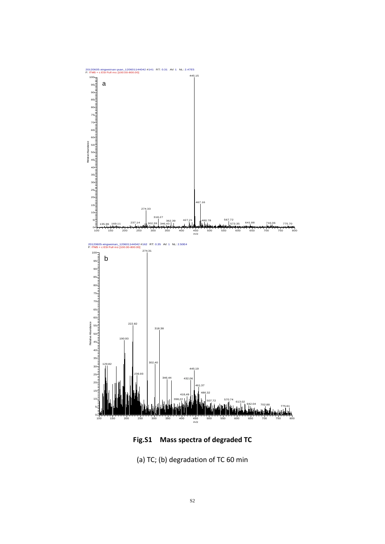

**Fig.S1 Mass spectra of degraded TC**

(a) TC; (b) degradation of TC 60 min